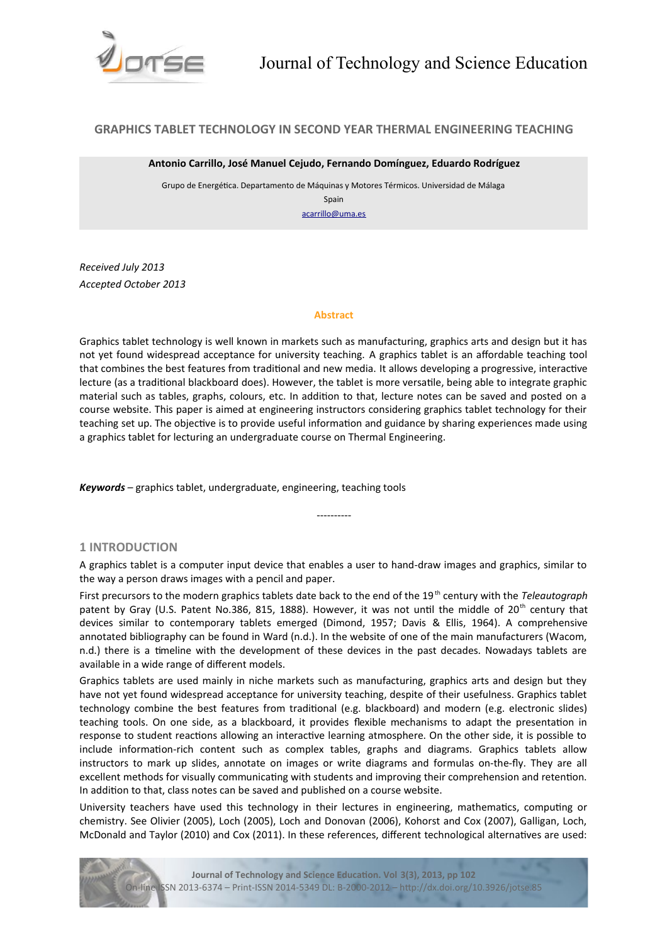

# **GRAPHICS TABLET TECHNOLOGY IN SECOND YEAR THERMAL ENGINEERING TEACHING**

#### **Antonio Carrillo, José Manuel Cejudo, Fernando Domínguez, Eduardo Rodríguez**

Grupo de Energética. Departamento de Máquinas y Motores Térmicos. Universidad de Málaga Spain

[acarrillo@uma.es](mailto:acarrillo@uma.es)

*Received July 2013 Accepted October 2013*

#### **Abstract**

Graphics tablet technology is well known in markets such as manufacturing, graphics arts and design but it has not yet found widespread acceptance for university teaching. A graphics tablet is an afordable teaching tool that combines the best features from traditional and new media. It allows developing a progressive, interactive lecture (as a traditional blackboard does). However, the tablet is more versatile, being able to integrate graphic material such as tables, graphs, colours, etc. In addition to that, lecture notes can be saved and posted on a course website. This paper is aimed at engineering instructors considering graphics tablet technology for their teaching set up. The objective is to provide useful information and guidance by sharing experiences made using a graphics tablet for lecturing an undergraduate course on Thermal Engineering.

*Keywords –* graphics tablet, undergraduate, engineering, teaching tools

## **1 INTRODUCTION**

A graphics tablet is a computer input device that enables a user to hand-draw images and graphics, similar to the way a person draws images with a pencil and paper.

----------

First precursors to the modern graphics tablets date back to the end of the 19<sup>th</sup> century with the *Teleautograph* patent by Gray (U.S. Patent No.386, 815, 1888). However, it was not until the middle of 20<sup>th</sup> century that devices similar to contemporary tablets emerged (Dimond, 1957; Davis & Ellis, 1964). A comprehensive annotated bibliography can be found in Ward (n.d.). In the website of one of the main manufacturers (Wacom, n.d.) there is a timeline with the development of these devices in the past decades. Nowadays tablets are available in a wide range of diferent models.

Graphics tablets are used mainly in niche markets such as manufacturing, graphics arts and design but they have not yet found widespread acceptance for university teaching, despite of their usefulness. Graphics tablet technology combine the best features from traditional (e.g. blackboard) and modern (e.g. electronic slides) teaching tools. On one side, as a blackboard, it provides fexible mechanisms to adapt the presentation in response to student reactions allowing an interactive learning atmosphere. On the other side, it is possible to include information-rich content such as complex tables, graphs and diagrams. Graphics tablets allow instructors to mark up slides, annotate on images or write diagrams and formulas on-the-fy. They are all excellent methods for visually communicating with students and improving their comprehension and retention. In addition to that, class notes can be saved and published on a course website.

University teachers have used this technology in their lectures in engineering, mathematics, computing or chemistry. See Olivier (2005), Loch (2005), Loch and Donovan (2006), Kohorst and Cox (2007), Galligan, Loch, McDonald and Taylor (2010) and Cox (2011). In these references, diferent technological alternatives are used:

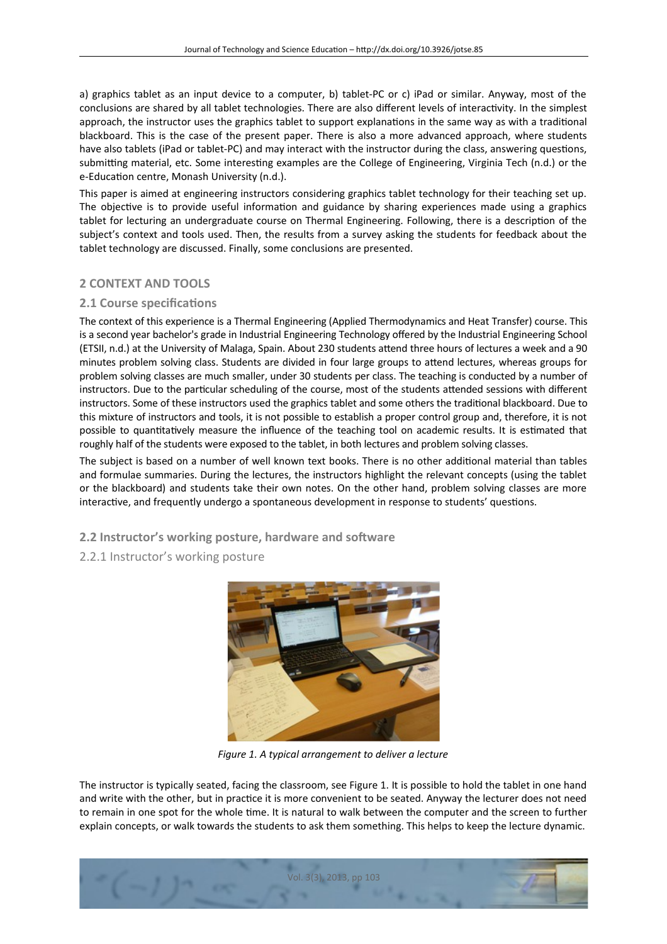a) graphics tablet as an input device to a computer, b) tablet-PC or c) iPad or similar. Anyway, most of the conclusions are shared by all tablet technologies. There are also diferent levels of interactivity. In the simplest approach, the instructor uses the graphics tablet to support explanations in the same way as with a traditional blackboard. This is the case of the present paper. There is also a more advanced approach, where students have also tablets (iPad or tablet-PC) and may interact with the instructor during the class, answering questions, submitting material, etc. Some interesting examples are the College of Engineering, Virginia Tech (n.d.) or the e-Education centre, Monash University (n.d.).

This paper is aimed at engineering instructors considering graphics tablet technology for their teaching set up. The objective is to provide useful information and guidance by sharing experiences made using a graphics tablet for lecturing an undergraduate course on Thermal Engineering. Following, there is a description of the subject's context and tools used. Then, the results from a survey asking the students for feedback about the tablet technology are discussed. Finally, some conclusions are presented.

# **2 CONTEXT AND TOOLS**

## **2.1 Course specifications**

The context of this experience is a Thermal Engineering (Applied Thermodynamics and Heat Transfer) course. This is a second year bachelor's grade in Industrial Engineering Technology ofered by the Industrial Engineering School (ETSII, n.d.) at the University of Malaga, Spain. About 230 students attend three hours of lectures a week and a 90 minutes problem solving class. Students are divided in four large groups to attend lectures, whereas groups for problem solving classes are much smaller, under 30 students per class. The teaching is conducted by a number of instructors. Due to the particular scheduling of the course, most of the students attended sessions with diferent instructors. Some of these instructors used the graphics tablet and some others the traditional blackboard. Due to this mixture of instructors and tools, it is not possible to establish a proper control group and, therefore, it is not possible to quantitatively measure the infuence of the teaching tool on academic results. It is estimated that roughly half of the students were exposed to the tablet, in both lectures and problem solving classes.

The subject is based on a number of well known text books. There is no other additional material than tables and formulae summaries. During the lectures, the instructors highlight the relevant concepts (using the tablet or the blackboard) and students take their own notes. On the other hand, problem solving classes are more interactive, and frequently undergo a spontaneous development in response to students' questions.

**2.2 Instructor's working posture, hardware and software**

# 2.2.1 Instructor's working posture



*Figure 1. A typical arrangement to deliver a lecture*

The instructor is typically seated, facing the classroom, see Figure 1. It is possible to hold the tablet in one hand and write with the other, but in practice it is more convenient to be seated. Anyway the lecturer does not need to remain in one spot for the whole time. It is natural to walk between the computer and the screen to further explain concepts, or walk towards the students to ask them something. This helps to keep the lecture dynamic.

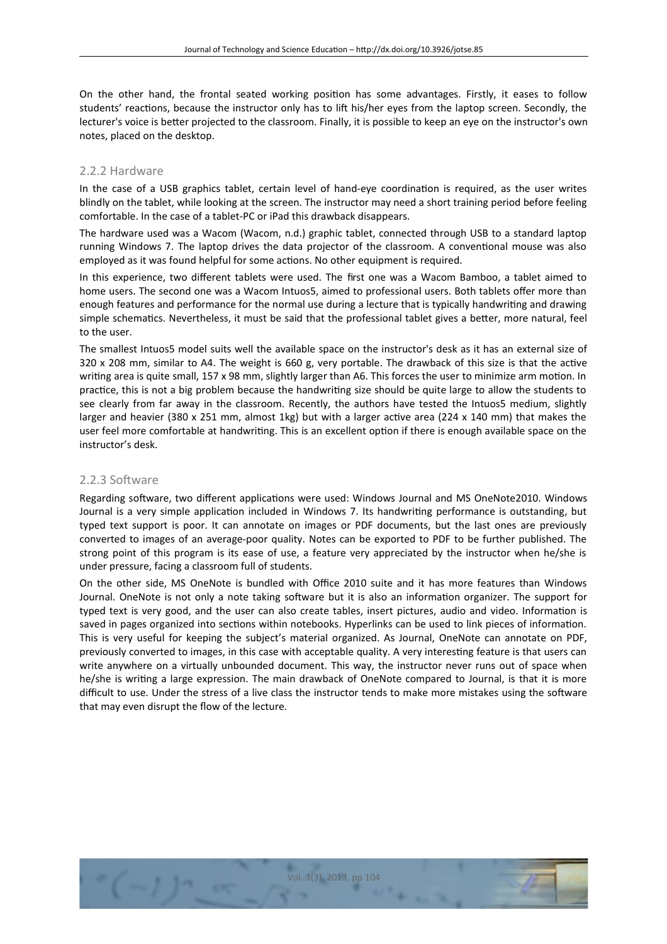On the other hand, the frontal seated working position has some advantages. Firstly, it eases to follow students' reactions, because the instructor only has to lift his/her eyes from the laptop screen. Secondly, the lecturer's voice is better projected to the classroom. Finally, it is possible to keep an eye on the instructor's own notes, placed on the desktop.

### 2.2.2 Hardware

In the case of a USB graphics tablet, certain level of hand-eye coordination is required, as the user writes blindly on the tablet, while looking at the screen. The instructor may need a short training period before feeling comfortable. In the case of a tablet-PC or iPad this drawback disappears.

The hardware used was a Wacom (Wacom, n.d.) graphic tablet, connected through USB to a standard laptop running Windows 7. The laptop drives the data projector of the classroom. A conventional mouse was also employed as it was found helpful for some actions. No other equipment is required.

In this experience, two different tablets were used. The first one was a Wacom Bamboo, a tablet aimed to home users. The second one was a Wacom Intuos5, aimed to professional users. Both tablets offer more than enough features and performance for the normal use during a lecture that is typically handwriting and drawing simple schematics. Nevertheless, it must be said that the professional tablet gives a better, more natural, feel to the user.

The smallest Intuos5 model suits well the available space on the instructor's desk as it has an external size of 320 x 208 mm, similar to A4. The weight is 660 g, very portable. The drawback of this size is that the active writing area is quite small, 157 x 98 mm, slightly larger than A6. This forces the user to minimize arm motion. In practice, this is not a big problem because the handwriting size should be quite large to allow the students to see clearly from far away in the classroom. Recently, the authors have tested the Intuos5 medium, slightly larger and heavier (380 x 251 mm, almost 1kg) but with a larger active area (224 x 140 mm) that makes the user feel more comfortable at handwriting. This is an excellent option if there is enough available space on the instructor's desk.

### 2.2.3 Software

Regarding sofware, two diferent applications were used: Windows Journal and MS OneNote2010. Windows Journal is a very simple application included in Windows 7. Its handwriting performance is outstanding, but typed text support is poor. It can annotate on images or PDF documents, but the last ones are previously converted to images of an average-poor quality. Notes can be exported to PDF to be further published. The strong point of this program is its ease of use, a feature very appreciated by the instructor when he/she is under pressure, facing a classroom full of students.

On the other side, MS OneNote is bundled with Office 2010 suite and it has more features than Windows Journal. OneNote is not only a note taking sofware but it is also an information organizer. The support for typed text is very good, and the user can also create tables, insert pictures, audio and video. Information is saved in pages organized into sections within notebooks. Hyperlinks can be used to link pieces of information. This is very useful for keeping the subject's material organized. As Journal, OneNote can annotate on PDF, previously converted to images, in this case with acceptable quality. A very interesting feature is that users can write anywhere on a virtually unbounded document. This way, the instructor never runs out of space when he/she is writing a large expression. The main drawback of OneNote compared to Journal, is that it is more difficult to use. Under the stress of a live class the instructor tends to make more mistakes using the software that may even disrupt the fow of the lecture.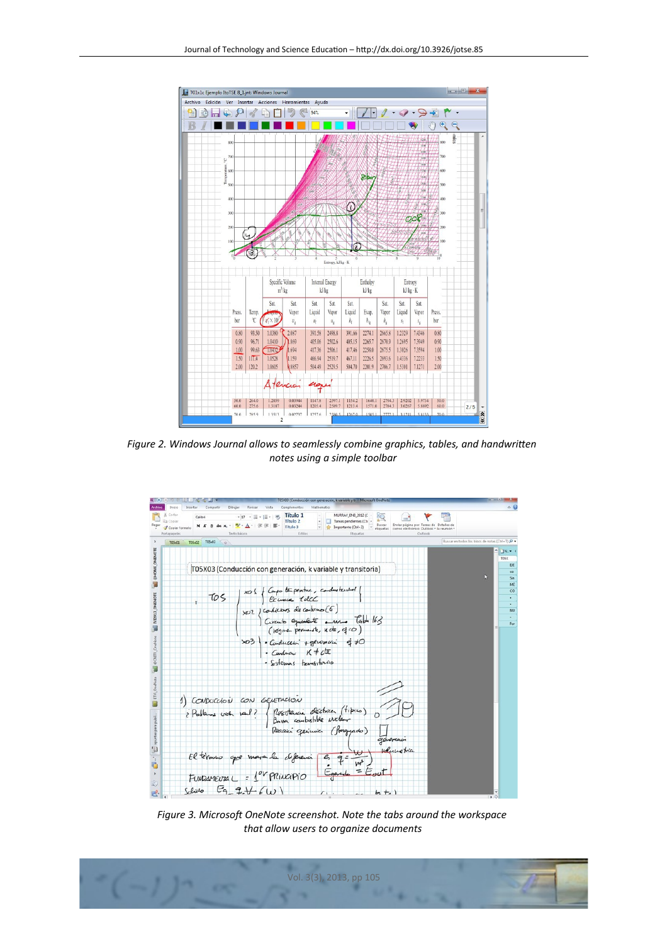

*Figure 2. Windows Journal allows to seamlessly combine graphics, tables, and handwritten notes using a simple toolbar*



*Figure 3. Microsoft OneNote screenshot. Note the tabs around the workspace that allow users to organize documents*

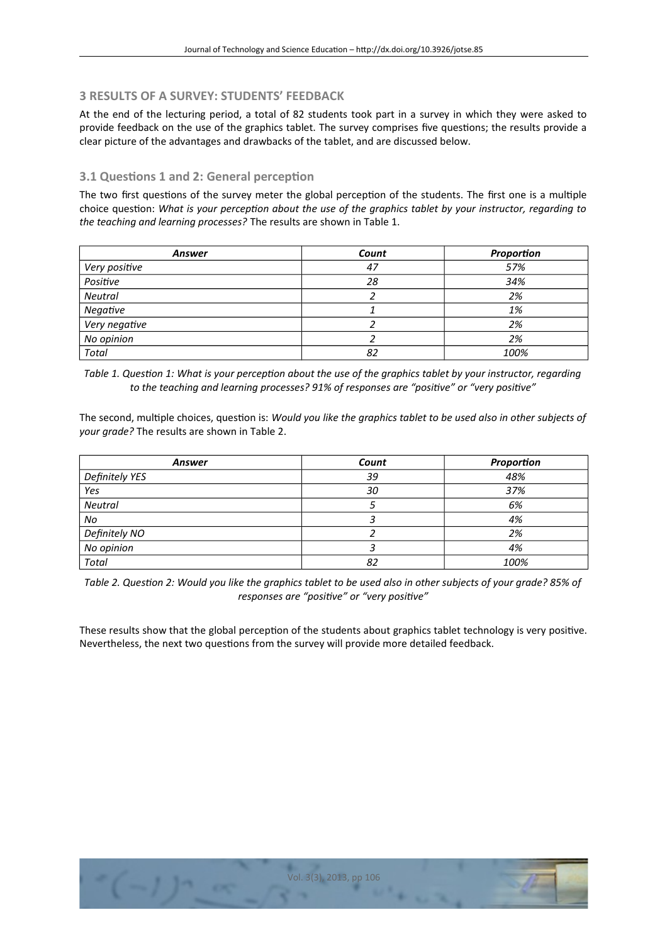# **3 RESULTS OF A SURVEY: STUDENTS' FEEDBACK**

At the end of the lecturing period, a total of 82 students took part in a survey in which they were asked to provide feedback on the use of the graphics tablet. The survey comprises five questions; the results provide a clear picture of the advantages and drawbacks of the tablet, and are discussed below.

# **3.1 Questions 1 and 2: General perception**

The two first questions of the survey meter the global perception of the students. The first one is a multiple choice question: *What is your percepton about the use of the graphics tablet by your instructor, regarding to the teaching and learning processes?* The results are shown in Table 1.

| <b>Answer</b> | Count | Proportion |
|---------------|-------|------------|
| Very positive | 47    | 57%        |
| Positive      | 28    | 34%        |
| Neutral       |       | 2%         |
| Negative      |       | 1%         |
| Very negative |       | 2%         |
| No opinion    |       | 2%         |
| <b>Total</b>  | 82    | 100%       |

*Table 1. Queston 1: What is your percepton about the use of the graphics tablet by your instructor, regarding to the teaching and learning processes? 91% of responses are "positve" or "very positve"*

The second, multiple choices, question is: *Would you like the graphics tablet to be used also in other subjects of your grade?* The results are shown in Table 2.

| Answer         | Count | Proportion |
|----------------|-------|------------|
| Definitely YES | 39    | 48%        |
| Yes            | 30    | 37%        |
| Neutral        |       | 6%         |
| No             |       | 4%         |
| Definitely NO  |       | 2%         |
| No opinion     |       | 4%         |
| Total          | 82    | 100%       |

*Table 2. Queston 2: Would you like the graphics tablet to be used also in other subjects of your grade? 85% of responses are "positve" or "very positve"*

These results show that the global perception of the students about graphics tablet technology is very positive. Nevertheless, the next two questions from the survey will provide more detailed feedback.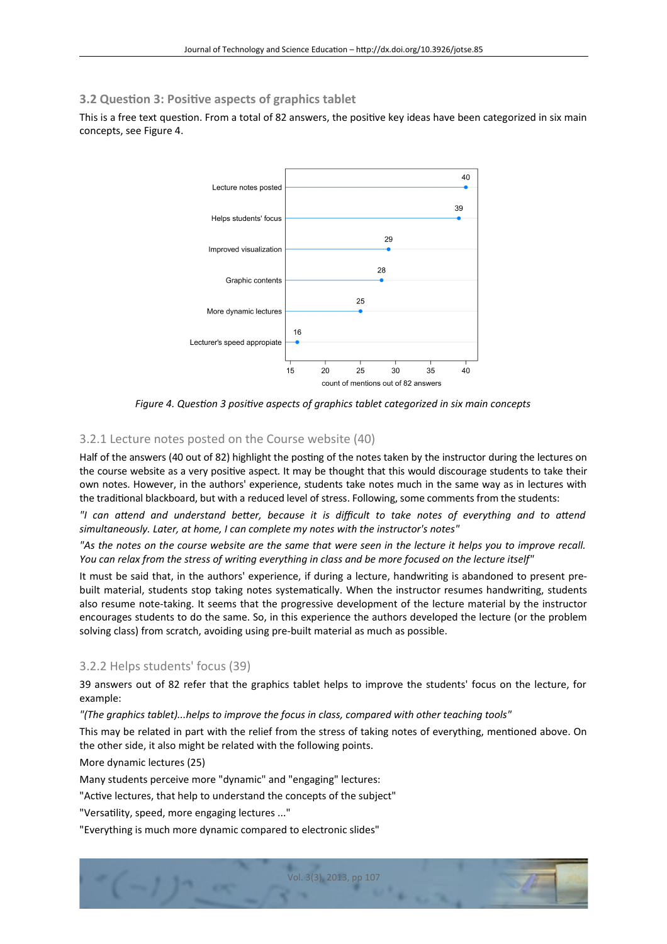# **3.2 Question 3: Positive aspects of graphics tablet**

This is a free text question. From a total of 82 answers, the positive key ideas have been categorized in six main concepts, see Figure 4.



*Figure 4. Queston 3 positve aspects of graphics tablet categorized in six main concepts*

# 3.2.1 Lecture notes posted on the Course website (40)

Half of the answers (40 out of 82) highlight the posting of the notes taken by the instructor during the lectures on the course website as a very positive aspect. It may be thought that this would discourage students to take their own notes. However, in the authors' experience, students take notes much in the same way as in lectures with the traditional blackboard, but with a reduced level of stress. Following, some comments from the students:

*"I can attend and understand better, because it is difcult to take notes of everything and to attend simultaneously. Later, at home, I can complete my notes with the instructor's notes"*

*"As the notes on the course website are the same that were seen in the lecture it helps you to improve recall. You can relax from the stress of writng everything in class and be more focused on the lecture itself"*

It must be said that, in the authors' experience, if during a lecture, handwriting is abandoned to present prebuilt material, students stop taking notes systematically. When the instructor resumes handwriting, students also resume note-taking. It seems that the progressive development of the lecture material by the instructor encourages students to do the same. So, in this experience the authors developed the lecture (or the problem solving class) from scratch, avoiding using pre-built material as much as possible.

### 3.2.2 Helps students' focus (39)

39 answers out of 82 refer that the graphics tablet helps to improve the students' focus on the lecture, for example:

*"(The graphics tablet)...helps to improve the focus in class, compared with other teaching tools"*

This may be related in part with the relief from the stress of taking notes of everything, mentioned above. On the other side, it also might be related with the following points.

Vol. 3(3), 2013, pp 107

More dynamic lectures (25)

Many students perceive more "dynamic" and "engaging" lectures:

"Active lectures, that help to understand the concepts of the subject"

"Versatility, speed, more engaging lectures ..."

"Everything is much more dynamic compared to electronic slides"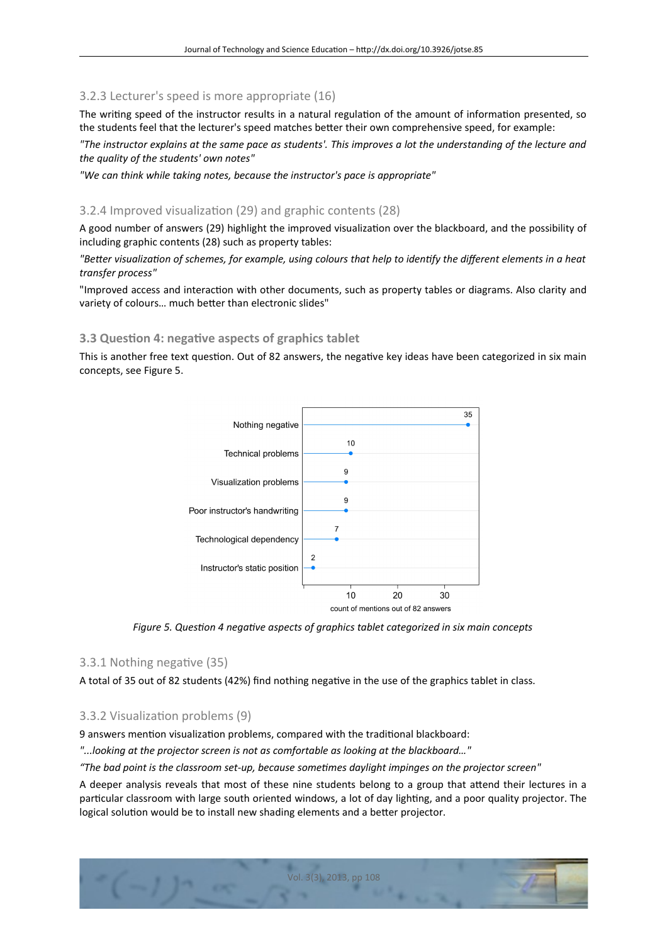# 3.2.3 Lecturer's speed is more appropriate (16)

The writing speed of the instructor results in a natural regulation of the amount of information presented, so the students feel that the lecturer's speed matches better their own comprehensive speed, for example:

*"The instructor explains at the same pace as students'. This improves a lot the understanding of the lecture and the quality of the students' own notes"*

*"We can think while taking notes, because the instructor's pace is appropriate"*

## 3.2.4 Improved visualization (29) and graphic contents (28)

A good number of answers (29) highlight the improved visualization over the blackboard, and the possibility of including graphic contents (28) such as property tables:

*"Better visualizaton of schemes, for example, using colours that help to identfy the diferent elements in a heat transfer process"*

"Improved access and interaction with other documents, such as property tables or diagrams. Also clarity and variety of colours… much better than electronic slides"

## **3.3 Question 4: negative aspects of graphics tablet**

This is another free text question. Out of 82 answers, the negative key ideas have been categorized in six main concepts, see Figure 5.



*Figure 5. Queston 4 negatve aspects of graphics tablet categorized in six main concepts*

### 3.3.1 Nothing negative (35)

A total of 35 out of 82 students (42%) fnd nothing negative in the use of the graphics tablet in class.

## 3.3.2 Visualization problems (9)

9 answers mention visualization problems, compared with the traditional blackboard:

*"...looking at the projector screen is not as comfortable as looking at the blackboard…"*

*"The bad point is the classroom set-up, because sometmes daylight impinges on the projector screen"*

A deeper analysis reveals that most of these nine students belong to a group that attend their lectures in a particular classroom with large south oriented windows, a lot of day lighting, and a poor quality projector. The logical solution would be to install new shading elements and a better projector.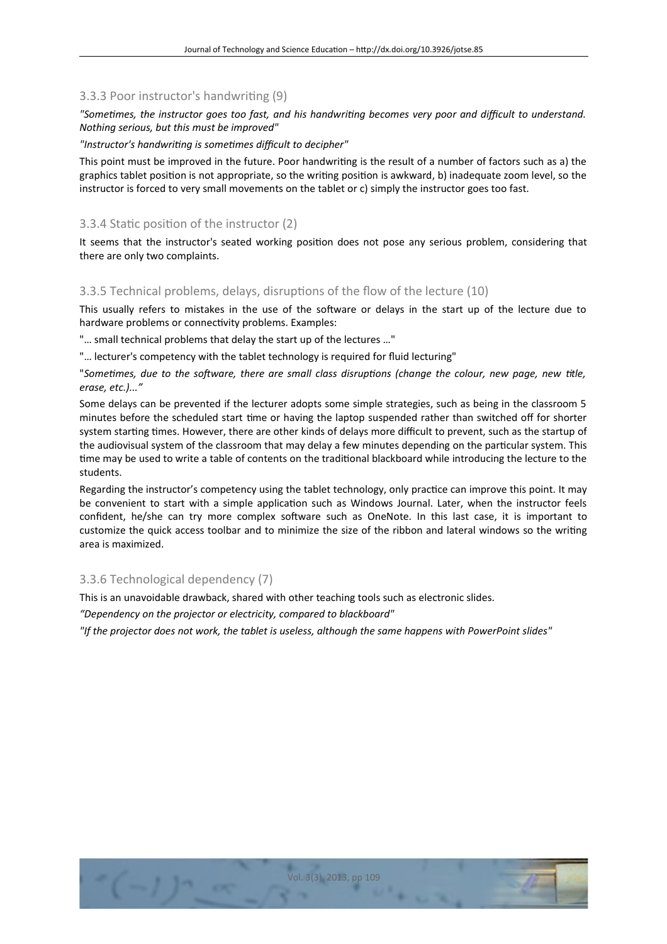## 3.3.3 Poor instructor's handwriting (9)

*"Sometmes, the instructor goes too fast, and his handwritng becomes very poor and difcult to understand. Nothing serious, but this must be improved"*

*"Instructor's handwritng is sometmes difcult to decipher"*

This point must be improved in the future. Poor handwriting is the result of a number of factors such as a) the graphics tablet position is not appropriate, so the writing position is awkward, b) inadequate zoom level, so the instructor is forced to very small movements on the tablet or c) simply the instructor goes too fast.

## 3.3.4 Static position of the instructor (2)

It seems that the instructor's seated working position does not pose any serious problem, considering that there are only two complaints.

## 3.3.5 Technical problems, delays, disruptions of the fow of the lecture (10)

This usually refers to mistakes in the use of the sofware or delays in the start up of the lecture due to hardware problems or connectivity problems. Examples:

"… small technical problems that delay the start up of the lectures …"

"… lecturer's competency with the tablet technology is required for fuid lecturing"

"*Sometmes, due to the software, there are small class disruptons (change the colour, new page, new ttle, erase, etc.)..."*

Some delays can be prevented if the lecturer adopts some simple strategies, such as being in the classroom 5 minutes before the scheduled start time or having the laptop suspended rather than switched off for shorter system starting times. However, there are other kinds of delays more difficult to prevent, such as the startup of the audiovisual system of the classroom that may delay a few minutes depending on the particular system. This time may be used to write a table of contents on the traditional blackboard while introducing the lecture to the students.

Regarding the instructor's competency using the tablet technology, only practice can improve this point. It may be convenient to start with a simple application such as Windows Journal. Later, when the instructor feels confdent, he/she can try more complex sofware such as OneNote. In this last case, it is important to customize the quick access toolbar and to minimize the size of the ribbon and lateral windows so the writing area is maximized.

## 3.3.6 Technological dependency (7)

This is an unavoidable drawback, shared with other teaching tools such as electronic slides.

*"Dependency on the projector or electricity, compared to blackboard"*

*"If the projector does not work, the tablet is useless, although the same happens with PowerPoint slides"*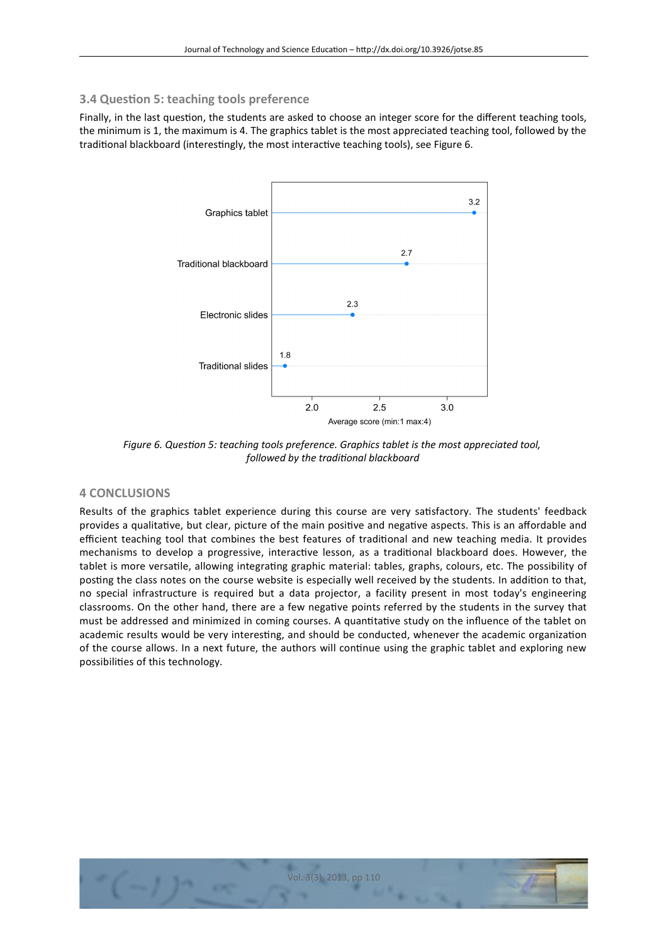# **3.4 Question 5: teaching tools preference**

Finally, in the last question, the students are asked to choose an integer score for the diferent teaching tools, the minimum is 1, the maximum is 4. The graphics tablet is the most appreciated teaching tool, followed by the traditional blackboard (interestingly, the most interactive teaching tools), see Figure 6.



*Figure 6. Question 5: teaching tools preference. Graphics tablet is the most appreciated tool, followed by the traditonal blackboard*

# **4 CONCLUSIONS**

Results of the graphics tablet experience during this course are very satisfactory. The students' feedback provides a qualitative, but clear, picture of the main positive and negative aspects. This is an afordable and efficient teaching tool that combines the best features of traditional and new teaching media. It provides mechanisms to develop a progressive, interactive lesson, as a traditional blackboard does. However, the tablet is more versatile, allowing integrating graphic material: tables, graphs, colours, etc. The possibility of posting the class notes on the course website is especially well received by the students. In addition to that, no special infrastructure is required but a data projector, a facility present in most today's engineering classrooms. On the other hand, there are a few negative points referred by the students in the survey that must be addressed and minimized in coming courses. A quantitative study on the infuence of the tablet on academic results would be very interesting, and should be conducted, whenever the academic organization of the course allows. In a next future, the authors will continue using the graphic tablet and exploring new possibilities of this technology.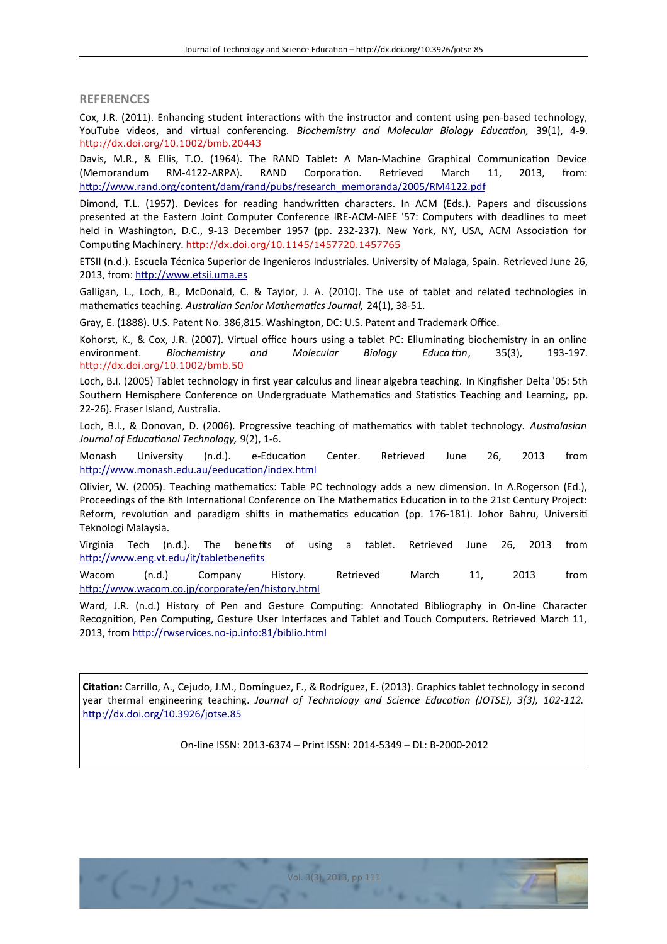**REFERENCES**

Cox, J.R. (2011). Enhancing student interactions with the instructor and content using pen-based technology, YouTube videos, and virtual conferencing. *Biochemistry and Molecular Biology Educaton,* 39(1), 4-9. <http://dx.doi.org/10.1002/bmb.20443>

Davis, M.R., & Ellis, T.O. (1964). The RAND Tablet: A Man-Machine Graphical Communication Device (Memorandum RM-4122-ARPA). RAND Corporation. Retrieved March 11, 2013, from: [http://www.rand.org/content/dam/rand/pubs/research\\_memoranda/2005/RM4122.pdf](http://www.rand.org/content/dam/rand/pubs/research_memoranda/2005/RM4122.pdf)

Dimond, T.L. (1957). Devices for reading handwritten characters. In ACM (Eds.). Papers and discussions presented at the Eastern Joint Computer Conference IRE-ACM-AIEE '57: Computers with deadlines to meet held in Washington, D.C., 9-13 December 1957 (pp. 232-237). New York, NY, USA, ACM Association for Computing Machinery. <http://dx.doi.org/10.1145/1457720.1457765>

ETSII (n.d.). Escuela Técnica Superior de Ingenieros Industriales. University of Malaga, Spain. Retrieved June 26, 2013, from: [http://www.etsii.uma.es](http://www.etsii.uma.es/)

Galligan, L., Loch, B., McDonald, C. & Taylor, J. A. (2010). The use of tablet and related technologies in mathematics teaching. *Australian Senior Mathematcs Journal,* 24(1), 38-51.

Gray, E. (1888). U.S. Patent No. 386,815. Washington, DC: U.S. Patent and Trademark Office.

Kohorst, K., & Cox, J.R. (2007). Virtual office hours using a tablet PC: Elluminating biochemistry in an online environment. *Biochemistry and Molecular Biology Educa ton*, 35(3), 193-197. <http://dx.doi.org/10.1002/bmb.50>

Loch, B.I. (2005) Tablet technology in frst year calculus and linear algebra teaching. In Kingfsher Delta '05: 5th Southern Hemisphere Conference on Undergraduate Mathematics and Statistics Teaching and Learning, pp. 22-26). Fraser Island, Australia.

Loch, B.I., & Donovan, D. (2006). Progressive teaching of mathematics with tablet technology. *Australasian Journal of Educatonal Technology,* 9(2), 1-6.

Monash University (n.d.). e-Education Center. Retrieved June 26, 2013 from http://www.monash.edu.au/eeducation/index.html

Olivier, W. (2005). Teaching mathematics: Table PC technology adds a new dimension. In A.Rogerson (Ed.), Proceedings of the 8th International Conference on The Mathematics Education in to the 21st Century Project: Reform, revolution and paradigm shifs in mathematics education (pp. 176-181). Johor Bahru, Universiti Teknologi Malaysia.

Virginia Tech (n.d.). The bene fts of using a tablet. Retrieved June 26, 2013 from http://www.eng.vt.edu/it/tabletbenefits

Wacom (n.d.) Company History*.* Retrieved March 11, 2013 from http://www.wacom.co.jp/corporate/en/history.html

Ward, J.R. (n.d.) History of Pen and Gesture Computing: Annotated Bibliography in On-line Character Recognition, Pen Computing, Gesture User Interfaces and Tablet and Touch Computers. Retrieved March 11, 2013, from http://rwservices.no-ip.info:81/biblio.html

**Citation:** Carrillo, A., Cejudo, J.M., Domínguez, F., & Rodríguez, E. (2013). Graphics tablet technology in second year thermal engineering teaching. *Journal of Technology and Science Educaton (JOTSE), 3(3), 102-112.* <http://dx.doi.org/10.3926/jotse.85>

On-line ISSN: 2013-6374 – Print ISSN: 2014-5349 – DL: B-2000-2012